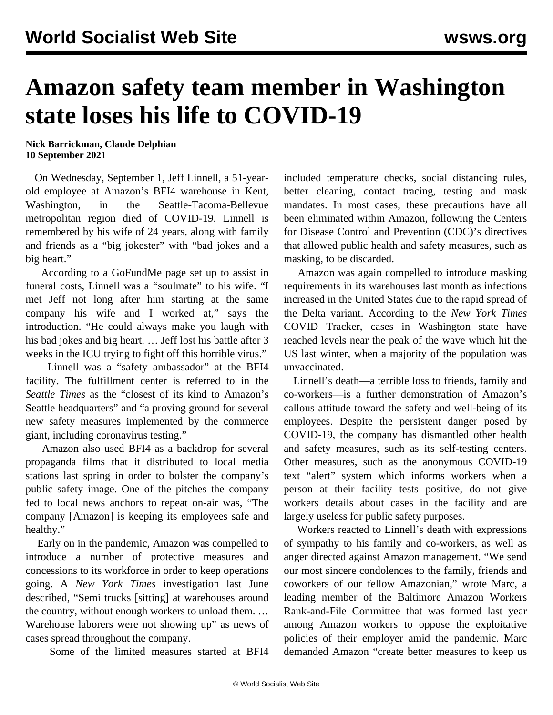## **Amazon safety team member in Washington state loses his life to COVID-19**

## **Nick Barrickman, Claude Delphian 10 September 2021**

 On Wednesday, September 1, Jeff Linnell, a 51-yearold employee at Amazon's BFI4 warehouse in Kent, Washington, in the Seattle-Tacoma-Bellevue metropolitan region died of COVID-19. Linnell is remembered by his wife of 24 years, along with family and friends as a "big jokester" with "bad jokes and a big heart."

 According to a [GoFundMe](https://www.gofundme.com/f/funeral-cost-or-jeff) page set up to assist in funeral costs, Linnell was a "soulmate" to his wife. "I met Jeff not long after him starting at the same company his wife and I worked at," says the introduction. "He could always make you laugh with his bad jokes and big heart. … Jeff lost his battle after 3 weeks in the ICU trying to fight off this horrible virus."

 Linnell was a "safety ambassador" at the BFI4 facility. The fulfillment center is referred to in the *Seattle Times* as the "closest of its kind to Amazon's Seattle headquarters" and "a proving ground for several new safety measures implemented by the commerce giant, including coronavirus testing."

 Amazon also used BFI4 as a backdrop for several [propaganda](/en/articles/2020/05/29/apro-m29.html) films that it distributed to local media stations last spring in order to bolster the company's public safety image. One of the pitches the company fed to local news anchors to repeat on-air was, "The company [Amazon] is keeping its employees safe and healthy."

 Early on in the pandemic, Amazon was compelled to introduce a number of protective measures and concessions to its workforce in order to keep operations going. A *New York Times* [investigation](/en/articles/2021/06/28/amaz-j28.html) last June described, "Semi trucks [sitting] at warehouses around the country, without enough workers to unload them. … Warehouse laborers were not showing up" as news of cases spread throughout the company.

Some of the limited measures started at BFI4

included temperature checks, social distancing rules, better cleaning, contact tracing, testing and mask mandates. In most cases, these precautions have all been [eliminated within Amazon,](/en/articles/2021/05/22/amzn-m22.html) following the Centers for Disease Control and Prevention (CDC)'s [directives](/en/articles/2021/05/15/pers-m15.html) that allowed public health and safety measures, such as masking, to be discarded.

 Amazon was [again](/en/articles/2021/08/16/amzn-a16.html) compelled to introduce masking requirements in its warehouses last month as infections increased in the United States due to the rapid spread of the Delta variant. According to the *New York Times* COVID Tracker, cases in Washington state have reached levels near the peak of the wave which hit the US last winter, when a majority of the population was unvaccinated.

 Linnell's death—a terrible loss to friends, family and co-workers—is a further demonstration of Amazon's callous attitude toward the safety and well-being of its employees. Despite the persistent danger posed by COVID-19, the company has dismantled other health and safety measures, such as its self-testing centers. Other measures, such as the anonymous COVID-19 text "alert" system which informs workers when a person at their facility tests positive, do not give workers details about cases in the facility and are largely useless for public safety purposes.

 Workers reacted to Linnell's death with expressions of sympathy to his family and co-workers, as well as anger directed against Amazon management. "We send our most sincere condolences to the family, friends and coworkers of our fellow Amazonian," wrote Marc, a leading member of the [Baltimore Amazon Workers](/en/articles/2020/12/14/bwi2-d14.html) [Rank-and-File Committee](/en/articles/2020/12/14/bwi2-d14.html) that was formed last year among Amazon workers to oppose the exploitative policies of their employer amid the pandemic. Marc demanded Amazon "create better measures to keep us